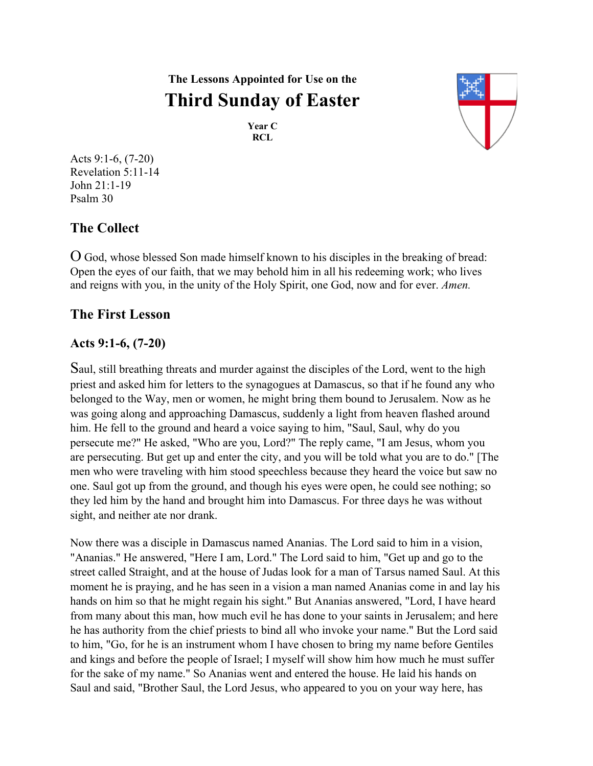**The Lessons Appointed for Use on the Third Sunday of Easter**

> **Year C RCL**



Acts 9:1-6, (7-20) Revelation 5:11-14 John 21:1-19 Psalm 30

# **The Collect**

O God, whose blessed Son made himself known to his disciples in the breaking of bread: Open the eyes of our faith, that we may behold him in all his redeeming work; who lives and reigns with you, in the unity of the Holy Spirit, one God, now and for ever. *Amen.*

## **The First Lesson**

### **Acts 9:1-6, (7-20)**

Saul, still breathing threats and murder against the disciples of the Lord, went to the high priest and asked him for letters to the synagogues at Damascus, so that if he found any who belonged to the Way, men or women, he might bring them bound to Jerusalem. Now as he was going along and approaching Damascus, suddenly a light from heaven flashed around him. He fell to the ground and heard a voice saying to him, "Saul, Saul, why do you persecute me?" He asked, "Who are you, Lord?" The reply came, "I am Jesus, whom you are persecuting. But get up and enter the city, and you will be told what you are to do." [The men who were traveling with him stood speechless because they heard the voice but saw no one. Saul got up from the ground, and though his eyes were open, he could see nothing; so they led him by the hand and brought him into Damascus. For three days he was without sight, and neither ate nor drank.

Now there was a disciple in Damascus named Ananias. The Lord said to him in a vision, "Ananias." He answered, "Here I am, Lord." The Lord said to him, "Get up and go to the street called Straight, and at the house of Judas look for a man of Tarsus named Saul. At this moment he is praying, and he has seen in a vision a man named Ananias come in and lay his hands on him so that he might regain his sight." But Ananias answered, "Lord, I have heard from many about this man, how much evil he has done to your saints in Jerusalem; and here he has authority from the chief priests to bind all who invoke your name." But the Lord said to him, "Go, for he is an instrument whom I have chosen to bring my name before Gentiles and kings and before the people of Israel; I myself will show him how much he must suffer for the sake of my name." So Ananias went and entered the house. He laid his hands on Saul and said, "Brother Saul, the Lord Jesus, who appeared to you on your way here, has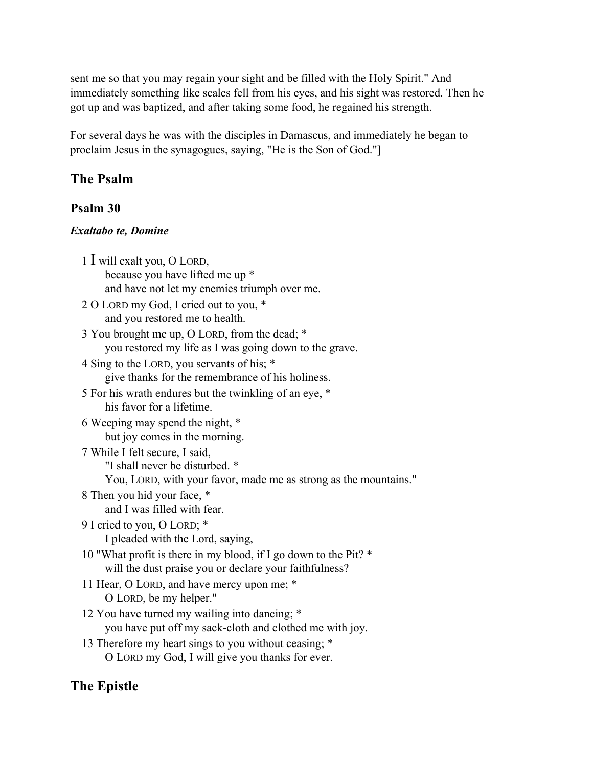sent me so that you may regain your sight and be filled with the Holy Spirit." And immediately something like scales fell from his eyes, and his sight was restored. Then he got up and was baptized, and after taking some food, he regained his strength.

For several days he was with the disciples in Damascus, and immediately he began to proclaim Jesus in the synagogues, saying, "He is the Son of God."]

## **The Psalm**

#### **Psalm 30**

#### *Exaltabo te, Domine*

| 1 I will exalt you, O LORD,                                      |
|------------------------------------------------------------------|
| because you have lifted me up *                                  |
| and have not let my enemies triumph over me.                     |
| 2 O LORD my God, I cried out to you, *                           |
| and you restored me to health.                                   |
| 3 You brought me up, O LORD, from the dead; *                    |
| you restored my life as I was going down to the grave.           |
| 4 Sing to the LORD, you servants of his; *                       |
| give thanks for the remembrance of his holiness.                 |
| 5 For his wrath endures but the twinkling of an eye, *           |
| his favor for a lifetime.                                        |
| 6 Weeping may spend the night, *                                 |
| but joy comes in the morning.                                    |
| 7 While I felt secure, I said,                                   |
| "I shall never be disturbed. *                                   |
| You, LORD, with your favor, made me as strong as the mountains." |
| 8 Then you hid your face, *                                      |
| and I was filled with fear.                                      |
| 9 I cried to you, O LORD; *                                      |
| I pleaded with the Lord, saying,                                 |
| 10 "What profit is there in my blood, if I go down to the Pit? * |
| will the dust praise you or declare your faithfulness?           |
| 11 Hear, O LORD, and have mercy upon me; *                       |
| O LORD, be my helper."                                           |
| 12 You have turned my wailing into dancing; *                    |
| you have put off my sack-cloth and clothed me with joy.          |
| 13 Therefore my heart sings to you without ceasing; *            |
| O LORD my God, I will give you thanks for ever.                  |

## **The Epistle**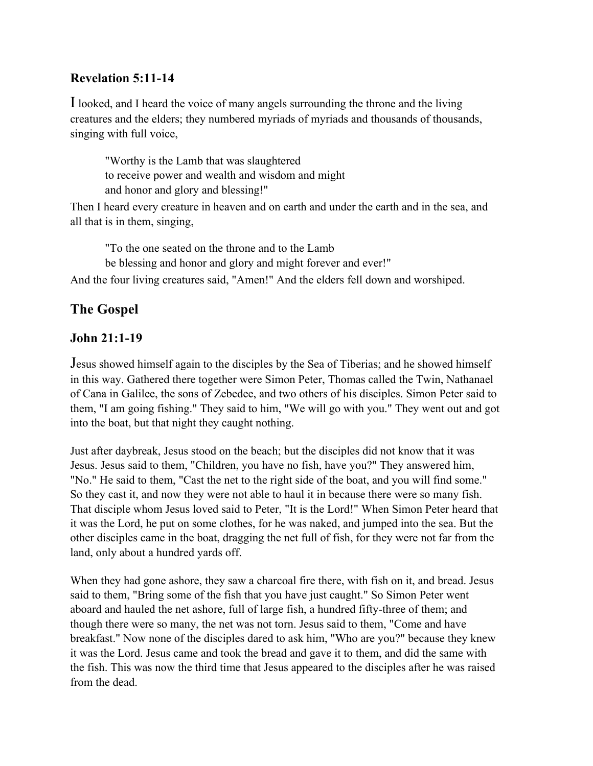### **Revelation 5:11-14**

I looked, and I heard the voice of many angels surrounding the throne and the living creatures and the elders; they numbered myriads of myriads and thousands of thousands, singing with full voice,

"Worthy is the Lamb that was slaughtered to receive power and wealth and wisdom and might and honor and glory and blessing!"

Then I heard every creature in heaven and on earth and under the earth and in the sea, and all that is in them, singing,

"To the one seated on the throne and to the Lamb be blessing and honor and glory and might forever and ever!"

And the four living creatures said, "Amen!" And the elders fell down and worshiped.

# **The Gospel**

### **John 21:1-19**

Jesus showed himself again to the disciples by the Sea of Tiberias; and he showed himself in this way. Gathered there together were Simon Peter, Thomas called the Twin, Nathanael of Cana in Galilee, the sons of Zebedee, and two others of his disciples. Simon Peter said to them, "I am going fishing." They said to him, "We will go with you." They went out and got into the boat, but that night they caught nothing.

Just after daybreak, Jesus stood on the beach; but the disciples did not know that it was Jesus. Jesus said to them, "Children, you have no fish, have you?" They answered him, "No." He said to them, "Cast the net to the right side of the boat, and you will find some." So they cast it, and now they were not able to haul it in because there were so many fish. That disciple whom Jesus loved said to Peter, "It is the Lord!" When Simon Peter heard that it was the Lord, he put on some clothes, for he was naked, and jumped into the sea. But the other disciples came in the boat, dragging the net full of fish, for they were not far from the land, only about a hundred yards off.

When they had gone ashore, they saw a charcoal fire there, with fish on it, and bread. Jesus said to them, "Bring some of the fish that you have just caught." So Simon Peter went aboard and hauled the net ashore, full of large fish, a hundred fifty-three of them; and though there were so many, the net was not torn. Jesus said to them, "Come and have breakfast." Now none of the disciples dared to ask him, "Who are you?" because they knew it was the Lord. Jesus came and took the bread and gave it to them, and did the same with the fish. This was now the third time that Jesus appeared to the disciples after he was raised from the dead.